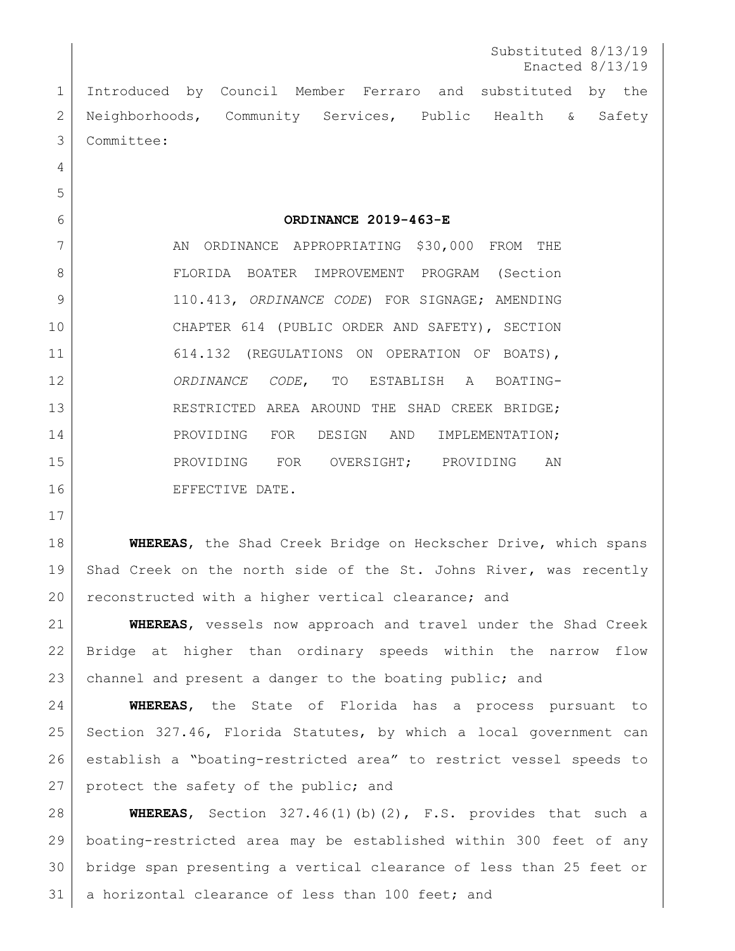Substituted 8/13/19 Enacted 8/13/19

 Introduced by Council Member Ferraro and substituted by the 2 | Neighborhoods, Community Services, Public Health & Safety Committee:

**ORDINANCE 2019-463-E**

7 AN ORDINANCE APPROPRIATING \$30,000 FROM THE 8 | FLORIDA BOATER IMPROVEMENT PROGRAM (Section 110.413, *ORDINANCE CODE*) FOR SIGNAGE; AMENDING CHAPTER 614 (PUBLIC ORDER AND SAFETY), SECTION 11 614.132 (REGULATIONS ON OPERATION OF BOATS), *ORDINANCE CODE*, TO ESTABLISH A BOATING-13 RESTRICTED AREA AROUND THE SHAD CREEK BRIDGE; 14 PROVIDING FOR DESIGN AND IMPLEMENTATION; PROVIDING FOR OVERSIGHT; PROVIDING AN 16 EFFECTIVE DATE.

 **WHEREAS**, the Shad Creek Bridge on Heckscher Drive, which spans 19 Shad Creek on the north side of the St. Johns River, was recently reconstructed with a higher vertical clearance; and

 **WHEREAS**, vessels now approach and travel under the Shad Creek Bridge at higher than ordinary speeds within the narrow flow 23 channel and present a danger to the boating public; and

 **WHEREAS**, the State of Florida has a process pursuant to Section 327.46, Florida Statutes, by which a local government can establish a "boating-restricted area" to restrict vessel speeds to 27 protect the safety of the public; and

 **WHEREAS**, Section 327.46(1)(b)(2), F.S. provides that such a boating-restricted area may be established within 300 feet of any bridge span presenting a vertical clearance of less than 25 feet or 31 | a horizontal clearance of less than 100 feet; and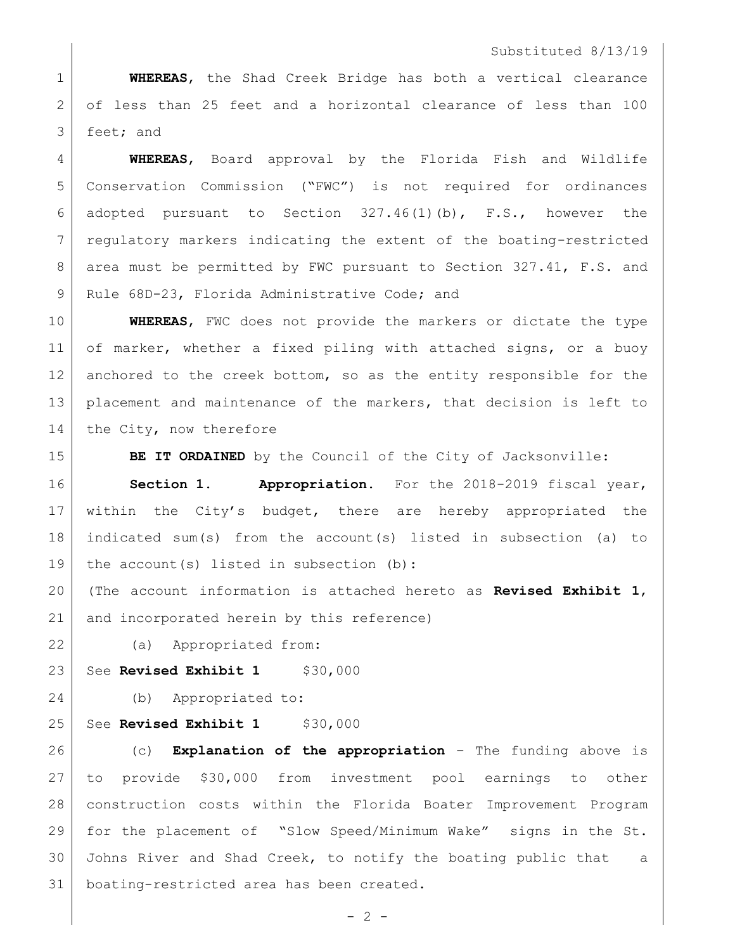## Substituted 8/13/19

 **WHEREAS**, the Shad Creek Bridge has both a vertical clearance of less than 25 feet and a horizontal clearance of less than 100 feet; and

 **WHEREAS**, Board approval by the Florida Fish and Wildlife Conservation Commission ("FWC") is not required for ordinances adopted pursuant to Section 327.46(1)(b), F.S., however the 7 regulatory markers indicating the extent of the boating-restricted 8 area must be permitted by FWC pursuant to Section 327.41, F.S. and 9 Rule 68D-23, Florida Administrative Code; and

 **WHEREAS**, FWC does not provide the markers or dictate the type 11 of marker, whether a fixed piling with attached signs, or a buoy 12 anchored to the creek bottom, so as the entity responsible for the placement and maintenance of the markers, that decision is left to 14 the City, now therefore

**BE IT ORDAINED** by the Council of the City of Jacksonville:

 **Section 1. Appropriation.** For the 2018-2019 fiscal year, within the City's budget, there are hereby appropriated the indicated sum(s) from the account(s) listed in subsection (a) to 19 the account(s) listed in subsection (b):

 (The account information is attached hereto as **Revised Exhibit 1**, 21 and incorporated herein by this reference)

(a) Appropriated from:

23 See **Revised Exhibit 1** \$30,000

(b) Appropriated to:

25 See **Revised Exhibit 1** \$30,000

 (c) **Explanation of the appropriation** – The funding above is to provide \$30,000 from investment pool earnings to other construction costs within the Florida Boater Improvement Program for the placement of "Slow Speed/Minimum Wake" signs in the St. Johns River and Shad Creek, to notify the boating public that a boating-restricted area has been created.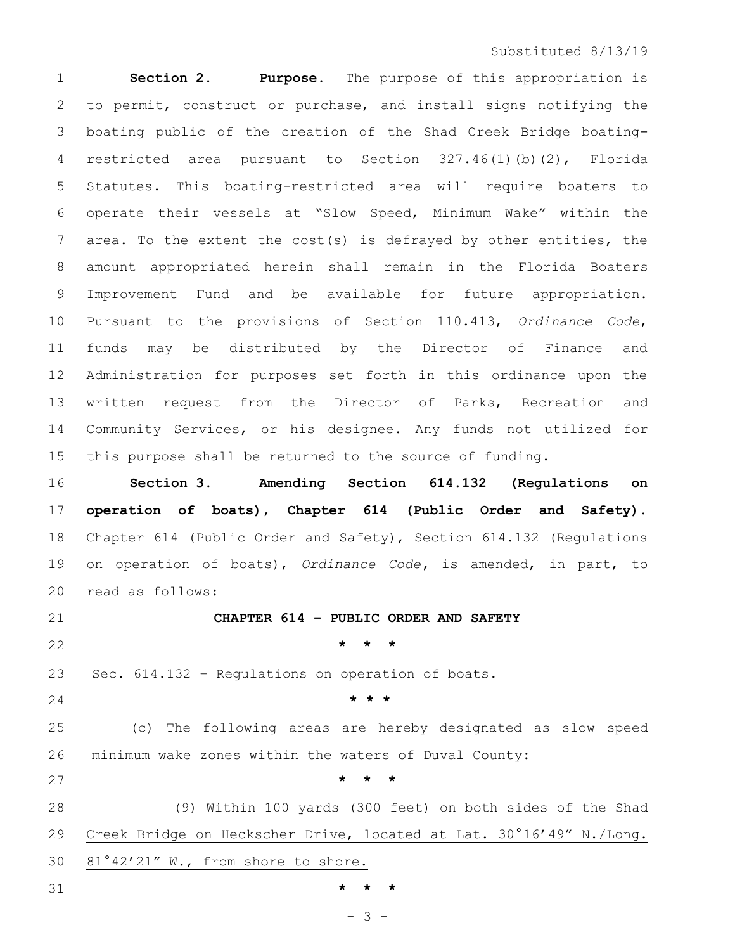## Substituted 8/13/19

 **Section 2. Purpose.** The purpose of this appropriation is to permit, construct or purchase, and install signs notifying the boating public of the creation of the Shad Creek Bridge boating-4 | restricted area pursuant to Section 327.46(1)(b)(2), Florida Statutes. This boating-restricted area will require boaters to operate their vessels at "Slow Speed, Minimum Wake" within the area. To the extent the cost(s) is defrayed by other entities, the amount appropriated herein shall remain in the Florida Boaters Improvement Fund and be available for future appropriation. Pursuant to the provisions of Section 110.413, *Ordinance Code*, funds may be distributed by the Director of Finance and Administration for purposes set forth in this ordinance upon the 13 written request from the Director of Parks, Recreation and 14 Community Services, or his designee. Any funds not utilized for this purpose shall be returned to the source of funding.

 **Section 3. Amending Section 614.132 (Regulations on operation of boats), Chapter 614 (Public Order and Safety).** Chapter 614 (Public Order and Safety), Section 614.132 (Regulations on operation of boats), *Ordinance Code***,** is amended, in part, to 20 read as follows:

**CHAPTER 614 – PUBLIC ORDER AND SAFETY**

**\* \* \***

23 Sec.  $614.132$  - Regulations on operation of boats.

**\* \* \***

**\* \* \***

**\* \* \***

 (c) The following areas are hereby designated as slow speed minimum wake zones within the waters of Duval County:

 (9) Within 100 yards (300 feet) on both sides of the Shad Creek Bridge on Heckscher Drive, located at Lat. 30°16'49" N./Long. 81°42'21" W., from shore to shore.

- 3 -